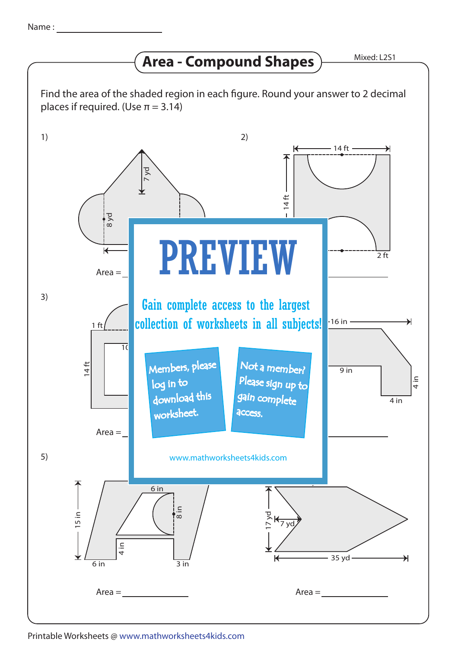## **Area - Compound Shapes**

Mixed: L2S1



Printable Worksheets @ www.mathworksheets4kids.com